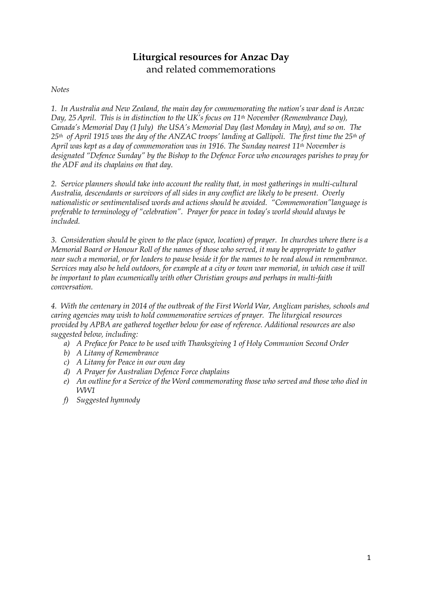# **Liturgical resources for Anzac Day** and related commemorations

### *Notes*

*1. In Australia and New Zealand, the main day for commemorating the nation's war dead is Anzac Day, 25 April. This is in distinction to the UK's focus on 11th November (Remembrance Day), Canada's Memorial Day (1 July) the USA's Memorial Day (last Monday in May), and so on. The 25th of April 1915 was the day of the ANZAC troops' landing at Gallipoli. The first time the 25th of April was kept as a day of commemoration was in 1916. The Sunday nearest 11th November is designated "Defence Sunday" by the Bishop to the Defence Force who encourages parishes to pray for the ADF and its chaplains on that day.*

*2. Service planners should take into account the reality that, in most gatherings in multi-cultural Australia, descendants or survivors of all sides in any conflict are likely to be present. Overly nationalistic or sentimentalised words and actions should be avoided. "Commemoration"language is preferable to terminology of "celebration". Prayer for peace in today's world should always be included.* 

*3. Consideration should be given to the place (space, location) of prayer. In churches where there is a Memorial Board or Honour Roll of the names of those who served, it may be appropriate to gather near such a memorial, or for leaders to pause beside it for the names to be read aloud in remembrance. Services may also be held outdoors, for example at a city or town war memorial, in which case it will be important to plan ecumenically with other Christian groups and perhaps in multi-faith conversation.* 

*4. With the centenary in 2014 of the outbreak of the First World War, Anglican parishes, schools and caring agencies may wish to hold commemorative services of prayer. The liturgical resources provided by APBA are gathered together below for ease of reference. Additional resources are also suggested below, including:*

- *a) A Preface for Peace to be used with Thanksgiving 1 of Holy Communion Second Order*
- *b) A Litany of Remembrance*
- *c) A Litany for Peace in our own day*
- *d) A Prayer for Australian Defence Force chaplains*
- *e) An outline for a Service of the Word commemorating those who served and those who died in WW1*
- *f) Suggested hymnody*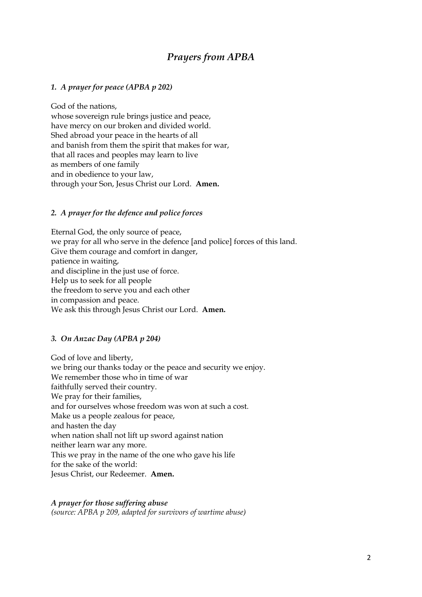# *Prayers from APBA*

### *1. A prayer for peace (APBA p 202)*

God of the nations, whose sovereign rule brings justice and peace, have mercy on our broken and divided world. Shed abroad your peace in the hearts of all and banish from them the spirit that makes for war, that all races and peoples may learn to live as members of one family and in obedience to your law, through your Son, Jesus Christ our Lord. **Amen.**

### *2.**A prayer for the defence and police forces*

Eternal God, the only source of peace, we pray for all who serve in the defence [and police] forces of this land. Give them courage and comfort in danger, patience in waiting, and discipline in the just use of force. Help us to seek for all people the freedom to serve you and each other in compassion and peace. We ask this through Jesus Christ our Lord. **Amen.**

### *3. On Anzac Day (APBA p 204)*

God of love and liberty, we bring our thanks today or the peace and security we enjoy. We remember those who in time of war faithfully served their country. We pray for their families, and for ourselves whose freedom was won at such a cost. Make us a people zealous for peace, and hasten the day when nation shall not lift up sword against nation neither learn war any more. This we pray in the name of the one who gave his life for the sake of the world: Jesus Christ, our Redeemer. **Amen.**

### *A prayer for those suffering abuse*

*(source: APBA p 209, adapted for survivors of wartime abuse)*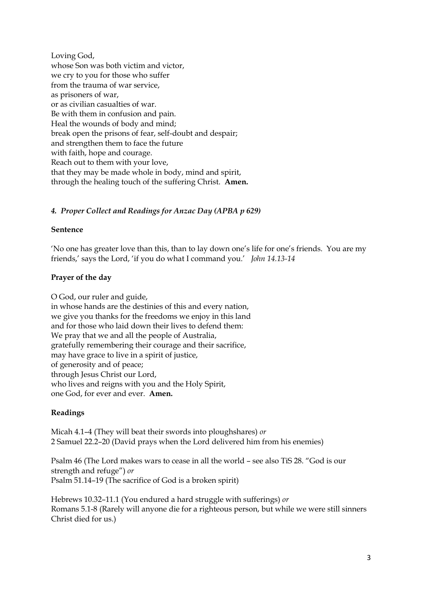Loving God, whose Son was both victim and victor, we cry to you for those who suffer from the trauma of war service, as prisoners of war, or as civilian casualties of war. Be with them in confusion and pain. Heal the wounds of body and mind; break open the prisons of fear, self-doubt and despair; and strengthen them to face the future with faith, hope and courage. Reach out to them with your love, that they may be made whole in body, mind and spirit, through the healing touch of the suffering Christ. **Amen.**

## *4. Proper Collect and Readings for Anzac Day (APBA p 629)*

### **Sentence**

'No one has greater love than this, than to lay down one's life for one's friends. You are my friends,' says the Lord, 'if you do what I command you.' *John 14.13-14*

#### **Prayer of the day**

O God, our ruler and guide, in whose hands are the destinies of this and every nation, we give you thanks for the freedoms we enjoy in this land and for those who laid down their lives to defend them: We pray that we and all the people of Australia, gratefully remembering their courage and their sacrifice, may have grace to live in a spirit of justice, of generosity and of peace; through Jesus Christ our Lord, who lives and reigns with you and the Holy Spirit, one God, for ever and ever. **Amen.**

#### **Readings**

Micah 4.1–4 (They will beat their swords into ploughshares) *or* 2 Samuel 22.2–20 (David prays when the Lord delivered him from his enemies)

Psalm 46 (The Lord makes wars to cease in all the world – see also TiS 28. "God is our strength and refuge") *or*  Psalm 51.14–19 (The sacrifice of God is a broken spirit)

Hebrews 10.32–11.1 (You endured a hard struggle with sufferings) *or* Romans 5.1-8 (Rarely will anyone die for a righteous person, but while we were still sinners Christ died for us.)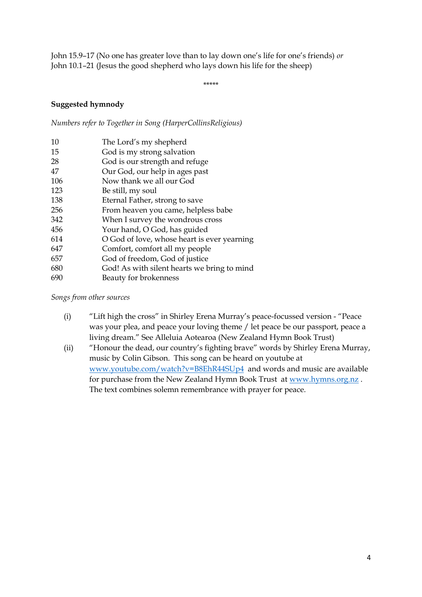John 15.9–17 (No one has greater love than to lay down one's life for one's friends) *or*  John 10.1–21 (Jesus the good shepherd who lays down his life for the sheep)

\*\*\*\*\*

### **Suggested hymnody**

*Numbers refer to Together in Song (HarperCollinsReligious)*

| 10  | The Lord's my shepherd                      |
|-----|---------------------------------------------|
| 15  | God is my strong salvation                  |
| 28  | God is our strength and refuge              |
| 47  | Our God, our help in ages past              |
| 106 | Now thank we all our God                    |
| 123 | Be still, my soul                           |
| 138 | Eternal Father, strong to save              |
| 256 | From heaven you came, helpless babe         |
| 342 | When I survey the wondrous cross            |
| 456 | Your hand, O God, has guided                |
| 614 | O God of love, whose heart is ever yearning |
| 647 | Comfort, comfort all my people              |
| 657 | God of freedom, God of justice              |
| 680 | God! As with silent hearts we bring to mind |
| 690 | Beauty for brokenness                       |

*Songs from other sources*

- (i) "Lift high the cross" in Shirley Erena Murray's peace-focussed version "Peace was your plea, and peace your loving theme / let peace be our passport, peace a living dream." See Alleluia Aotearoa (New Zealand Hymn Book Trust)
- (ii) "Honour the dead, our country's fighting brave" words by Shirley Erena Murray, music by Colin Gibson. This song can be heard on youtube at [www.youtube.com/watch?v=B8EhR44SUp4](http://www.youtube.com/watch?v=B8EhR44SUp4) and words and music are available for purchase from the New Zealand Hymn Book Trust at [www.hymns.org.nz](http://www.hymns.org.nz/) . The text combines solemn remembrance with prayer for peace.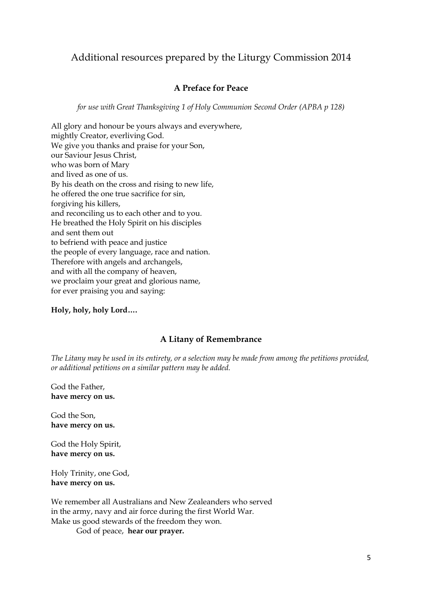# Additional resources prepared by the Liturgy Commission 2014

## **A Preface for Peace**

*for use with Great Thanksgiving 1 of Holy Communion Second Order (APBA p 128)*

All glory and honour be yours always and everywhere, mightly Creator, everliving God. We give you thanks and praise for your Son, our Saviour Jesus Christ, who was born of Mary and lived as one of us. By his death on the cross and rising to new life, he offered the one true sacrifice for sin, forgiving his killers, and reconciling us to each other and to you. He breathed the Holy Spirit on his disciples and sent them out to befriend with peace and justice the people of every language, race and nation. Therefore with angels and archangels, and with all the company of heaven, we proclaim your great and glorious name, for ever praising you and saying:

### **Holy, holy, holy Lord….**

### **A Litany of Remembrance**

*The Litany may be used in its entirety, or a selection may be made from among the petitions provided, or additional petitions on a similar pattern may be added.*

God the Father, **have mercy on us.**

God the Son, **have mercy on us.**

God the Holy Spirit, **have mercy on us.**

Holy Trinity, one God, **have mercy on us.**

We remember all Australians and New Zealeanders who served in the army, navy and air force during the first World War. Make us good stewards of the freedom they won.

God of peace, **hear our prayer.**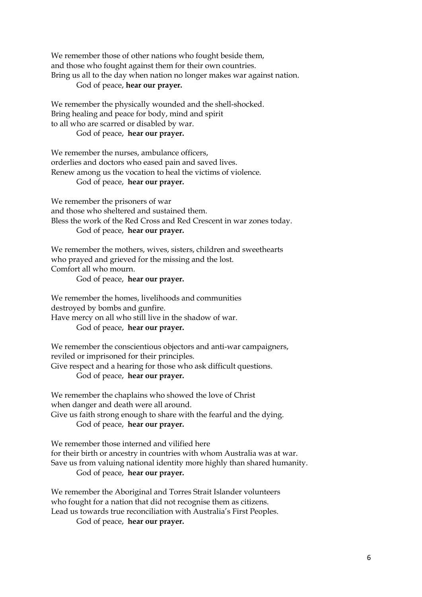We remember those of other nations who fought beside them, and those who fought against them for their own countries. Bring us all to the day when nation no longer makes war against nation. God of peace, **hear our prayer.**

We remember the physically wounded and the shell-shocked. Bring healing and peace for body, mind and spirit to all who are scarred or disabled by war. God of peace, **hear our prayer.**

We remember the nurses, ambulance officers, orderlies and doctors who eased pain and saved lives. Renew among us the vocation to heal the victims of violence. God of peace, **hear our prayer.**

We remember the prisoners of war and those who sheltered and sustained them. Bless the work of the Red Cross and Red Crescent in war zones today. God of peace, **hear our prayer.**

We remember the mothers, wives, sisters, children and sweethearts who prayed and grieved for the missing and the lost. Comfort all who mourn.

God of peace, **hear our prayer.**

We remember the homes, livelihoods and communities destroyed by bombs and gunfire. Have mercy on all who still live in the shadow of war. God of peace, **hear our prayer.**

We remember the conscientious objectors and anti-war campaigners, reviled or imprisoned for their principles. Give respect and a hearing for those who ask difficult questions.

God of peace, **hear our prayer.**

We remember the chaplains who showed the love of Christ when danger and death were all around.

Give us faith strong enough to share with the fearful and the dying. God of peace, **hear our prayer.**

We remember those interned and vilified here for their birth or ancestry in countries with whom Australia was at war. Save us from valuing national identity more highly than shared humanity. God of peace, **hear our prayer.**

We remember the Aboriginal and Torres Strait Islander volunteers who fought for a nation that did not recognise them as citizens. Lead us towards true reconciliation with Australia's First Peoples.

God of peace, **hear our prayer.**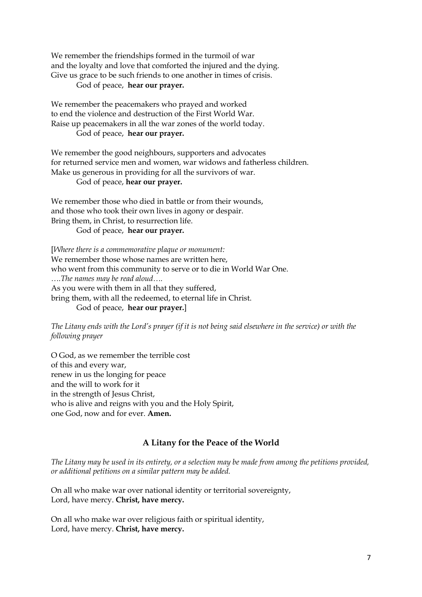We remember the friendships formed in the turmoil of war and the loyalty and love that comforted the injured and the dying. Give us grace to be such friends to one another in times of crisis.

God of peace, **hear our prayer.**

We remember the peacemakers who prayed and worked to end the violence and destruction of the First World War. Raise up peacemakers in all the war zones of the world today. God of peace, **hear our prayer.**

We remember the good neighbours, supporters and advocates for returned service men and women, war widows and fatherless children. Make us generous in providing for all the survivors of war. God of peace, **hear our prayer.**

We remember those who died in battle or from their wounds, and those who took their own lives in agony or despair. Bring them, in Christ, to resurrection life.

God of peace, **hear our prayer.**

[*Where there is a commemorative plaque or monument:* We remember those whose names are written here, who went from this community to serve or to die in World War One. *….The names may be read aloud….* As you were with them in all that they suffered, bring them, with all the redeemed, to eternal life in Christ. God of peace, **hear our prayer.**]

*The Litany ends with the Lord's prayer (if it is not being said elsewhere in the service) or with the following prayer*

O God, as we remember the terrible cost of this and every war, renew in us the longing for peace and the will to work for it in the strength of Jesus Christ, who is alive and reigns with you and the Holy Spirit, one God, now and for ever. **Amen.**

### **A Litany for the Peace of the World**

*The Litany may be used in its entirety, or a selection may be made from among the petitions provided, or additional petitions on a similar pattern may be added.*

On all who make war over national identity or territorial sovereignty, Lord, have mercy. **Christ, have mercy.**

On all who make war over religious faith or spiritual identity, Lord, have mercy. **Christ, have mercy.**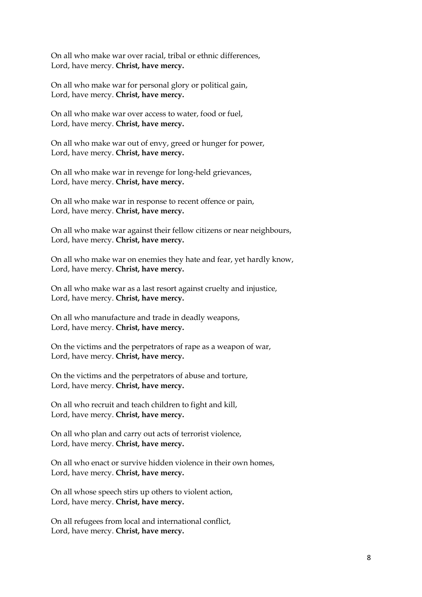On all who make war over racial, tribal or ethnic differences, Lord, have mercy. **Christ, have mercy.**

On all who make war for personal glory or political gain, Lord, have mercy. **Christ, have mercy.**

On all who make war over access to water, food or fuel, Lord, have mercy. **Christ, have mercy.**

On all who make war out of envy, greed or hunger for power, Lord, have mercy. **Christ, have mercy.**

On all who make war in revenge for long-held grievances, Lord, have mercy. **Christ, have mercy.**

On all who make war in response to recent offence or pain, Lord, have mercy. **Christ, have mercy.**

On all who make war against their fellow citizens or near neighbours, Lord, have mercy. **Christ, have mercy.**

On all who make war on enemies they hate and fear, yet hardly know, Lord, have mercy. **Christ, have mercy.**

On all who make war as a last resort against cruelty and injustice, Lord, have mercy. **Christ, have mercy.**

On all who manufacture and trade in deadly weapons, Lord, have mercy. **Christ, have mercy.**

On the victims and the perpetrators of rape as a weapon of war, Lord, have mercy. **Christ, have mercy.**

On the victims and the perpetrators of abuse and torture, Lord, have mercy. **Christ, have mercy.**

On all who recruit and teach children to fight and kill, Lord, have mercy. **Christ, have mercy.**

On all who plan and carry out acts of terrorist violence, Lord, have mercy. **Christ, have mercy.**

On all who enact or survive hidden violence in their own homes, Lord, have mercy. **Christ, have mercy.**

On all whose speech stirs up others to violent action, Lord, have mercy. **Christ, have mercy.**

On all refugees from local and international conflict, Lord, have mercy. **Christ, have mercy.**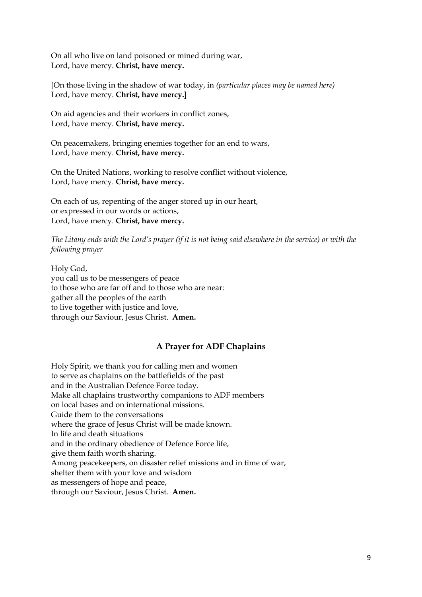On all who live on land poisoned or mined during war, Lord, have mercy. **Christ, have mercy.**

[On those living in the shadow of war today, in *(particular places may be named here)* Lord, have mercy. **Christ, have mercy.]**

On aid agencies and their workers in conflict zones, Lord, have mercy. **Christ, have mercy.**

On peacemakers, bringing enemies together for an end to wars, Lord, have mercy. **Christ, have mercy.**

On the United Nations, working to resolve conflict without violence, Lord, have mercy. **Christ, have mercy.**

On each of us, repenting of the anger stored up in our heart, or expressed in our words or actions, Lord, have mercy. **Christ, have mercy.**

*The Litany ends with the Lord's prayer (if it is not being said elsewhere in the service) or with the following prayer*

Holy God, you call us to be messengers of peace to those who are far off and to those who are near: gather all the peoples of the earth to live together with justice and love, through our Saviour, Jesus Christ. **Amen.**

## **A Prayer for ADF Chaplains**

Holy Spirit, we thank you for calling men and women to serve as chaplains on the battlefields of the past and in the Australian Defence Force today. Make all chaplains trustworthy companions to ADF members on local bases and on international missions. Guide them to the conversations where the grace of Jesus Christ will be made known. In life and death situations and in the ordinary obedience of Defence Force life, give them faith worth sharing. Among peacekeepers, on disaster relief missions and in time of war, shelter them with your love and wisdom as messengers of hope and peace, through our Saviour, Jesus Christ. **Amen.**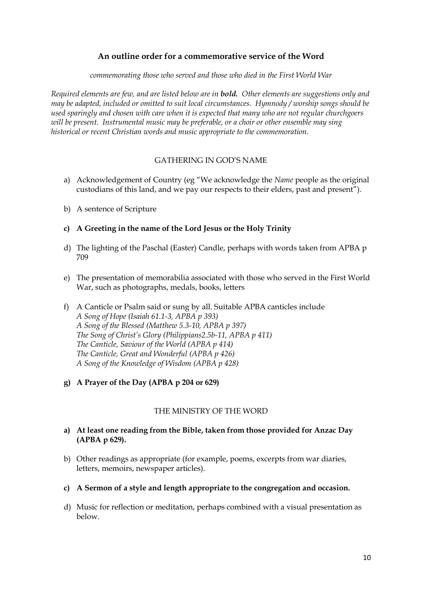## **An outline order for a commemorative service of the Word**

*commemorating those who served and those who died in the First World War*

*Required elements are few, and are listed below are in bold. Other elements are suggestions only and may be adapted, included or omitted to suit local circumstances. Hymnody / worship songs should be used sparingly and chosen with care when it is expected that many who are not regular churchgoers will be present. Instrumental music may be preferable, or a choir or other ensemble may sing historical or recent Christian words and music appropriate to the commemoration.* 

### GATHERING IN GOD'S NAME

- a) Acknowledgement of Country (eg "We acknowledge the *Name* people as the original custodians of this land, and we pay our respects to their elders, past and present").
- b) A sentence of Scripture
- **c) A Greeting in the name of the Lord Jesus or the Holy Trinity**
- d) The lighting of the Paschal (Easter) Candle, perhaps with words taken from APBA p 709
- e) The presentation of memorabilia associated with those who served in the First World War, such as photographs, medals, books, letters
- f) A Canticle or Psalm said or sung by all. Suitable APBA canticles include *A Song of Hope (Isaiah 61.1-3, APBA p 393) A Song of the Blessed (Matthew 5.3-10, APBA p 397) The Song of Christ's Glory (Philippians2.5b-11, APBA p 411) The Canticle, Saviour of the World (APBA p 414) The Canticle, Great and Wonderful (APBA p 426) A Song of the Knowledge of Wisdom (APBA p 428)*
- **g) A Prayer of the Day (APBA p 204 or 629)**

#### THE MINISTRY OF THE WORD

- **a) At least one reading from the Bible, taken from those provided for Anzac Day (APBA p 629).**
- b) Other readings as appropriate (for example, poems, excerpts from war diaries, letters, memoirs, newspaper articles).
- **c) A Sermon of a style and length appropriate to the congregation and occasion.**
- d) Music for reflection or meditation, perhaps combined with a visual presentation as below.